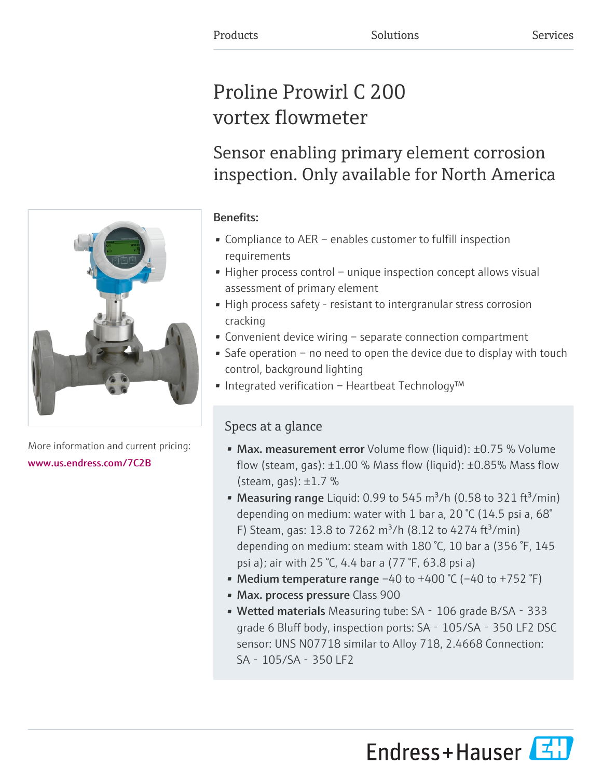# Proline Prowirl C 200 vortex flowmeter

Sensor enabling primary element corrosion inspection. Only available for North America

## Benefits:

- Compliance to AER enables customer to fulfill inspection requirements
- Higher process control unique inspection concept allows visual assessment of primary element
- High process safety resistant to intergranular stress corrosion cracking
- Convenient device wiring separate connection compartment
- Safe operation no need to open the device due to display with touch control, background lighting
- Integrated verification Heartbeat Technology™

## Specs at a glance

- Max. measurement error Volume flow (liquid): ±0.75 % Volume flow (steam, gas):  $\pm 1.00$  % Mass flow (liquid):  $\pm 0.85$ % Mass flow (steam, gas):  $\pm 1.7$  %
- Measuring range Liquid: 0.99 to 545 m<sup>3</sup>/h (0.58 to 321 ft<sup>3</sup>/min) depending on medium: water with 1 bar a, 20 °C (14.5 psi a, 68° F) Steam, gas: 13.8 to 7262 m<sup>3</sup>/h (8.12 to 4274 ft<sup>3</sup>/min) depending on medium: steam with 180 °C, 10 bar a (356 °F, 145 psi a); air with 25 °C, 4.4 bar a (77 °F, 63.8 psi a)
- Medium temperature range  $-40$  to  $+400$  °C ( $-40$  to  $+752$  °F)
- Max. process pressure Class 900
- Wetted materials Measuring tube: SA 106 grade B/SA 333 grade 6 Bluff body, inspection ports: SA‐105/SA‐350 LF2 DSC sensor: UNS N07718 similar to Alloy 718, 2.4668 Connection: SA‐105/SA‐350 LF2



More information and current pricing: [www.us.endress.com/7C2B](https://www.us.endress.com/7C2B)

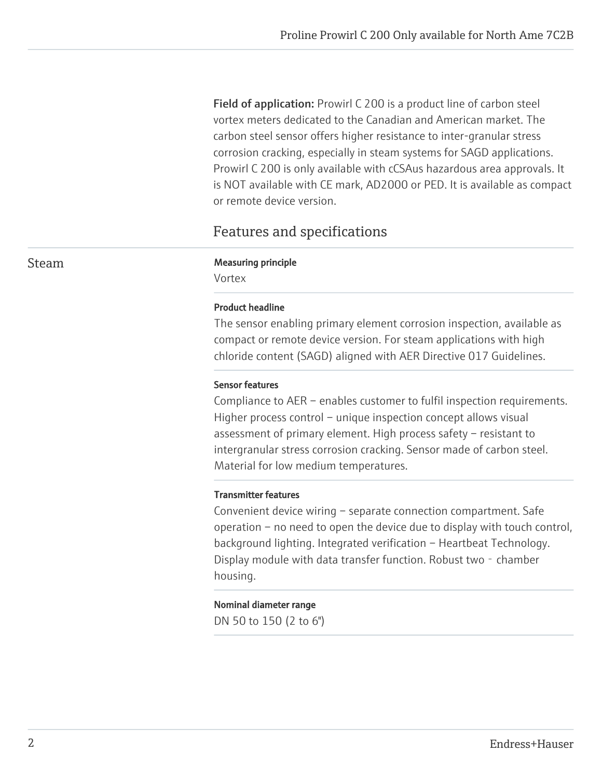Field of application: Prowirl C 200 is a product line of carbon steel vortex meters dedicated to the Canadian and American market. The carbon steel sensor offers higher resistance to inter-granular stress corrosion cracking, especially in steam systems for SAGD applications. Prowirl C 200 is only available with cCSAus hazardous area approvals. It is NOT available with CE mark, AD2000 or PED. It is available as compact or remote device version.

## Features and specifications

#### Steam Measuring principle

Vortex

#### Product headline

The sensor enabling primary element corrosion inspection, available as compact or remote device version. For steam applications with high chloride content (SAGD) aligned with AER Directive 017 Guidelines.

#### Sensor features

Compliance to AER – enables customer to fulfil inspection requirements. Higher process control – unique inspection concept allows visual assessment of primary element. High process safety – resistant to intergranular stress corrosion cracking. Sensor made of carbon steel. Material for low medium temperatures.

#### Transmitter features

Convenient device wiring – separate connection compartment. Safe operation – no need to open the device due to display with touch control, background lighting. Integrated verification – Heartbeat Technology. Display module with data transfer function. Robust two - chamber housing.

#### Nominal diameter range

DN 50 to 150 (2 to 6")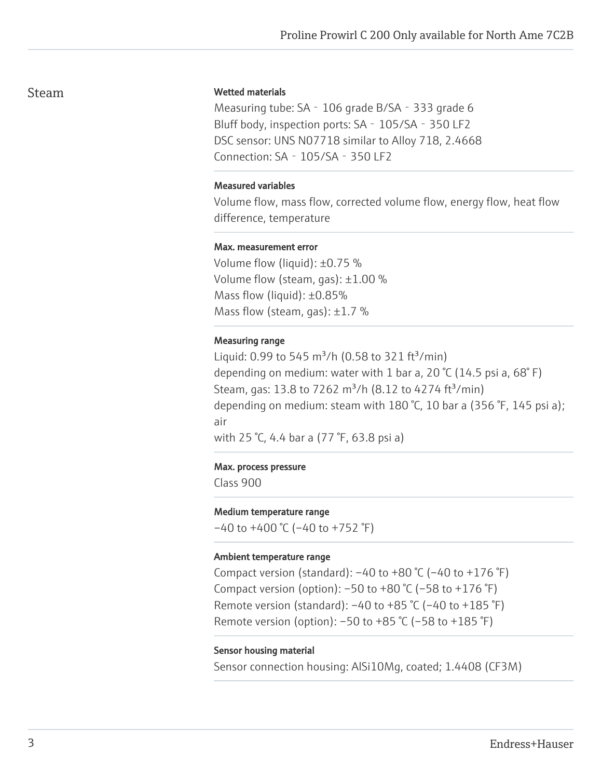### Steam

#### Wetted materials

Measuring tube: SA - 106 grade B/SA - 333 grade 6 Bluff body, inspection ports: SA - 105/SA - 350 LF2 DSC sensor: UNS N07718 similar to Alloy 718, 2.4668 Connection: SA‐105/SA‐350 LF2

#### Measured variables

Volume flow, mass flow, corrected volume flow, energy flow, heat flow difference, temperature

#### Max. measurement error

Volume flow (liquid): ±0.75 % Volume flow (steam, gas): ±1.00 % Mass flow (liquid): ±0.85% Mass flow (steam, gas):  $\pm 1.7$  %

#### Measuring range

Liquid: 0.99 to 545 m<sup>3</sup>/h (0.58 to 321 ft<sup>3</sup>/min) depending on medium: water with 1 bar a, 20 °C (14.5 psi a, 68° F) Steam, gas: 13.8 to 7262 m<sup>3</sup>/h (8.12 to 4274 ft<sup>3</sup>/min) depending on medium: steam with 180 °C, 10 bar a (356 °F, 145 psi a); air

with 25 °C, 4.4 bar a (77 °F, 63.8 psi a)

#### Max. process pressure

Class 900

#### Medium temperature range

 $-40$  to  $+400$  °C ( $-40$  to  $+752$  °F)

#### Ambient temperature range

Compact version (standard):  $-40$  to  $+80$  °C ( $-40$  to  $+176$  °F) Compact version (option):  $-50$  to  $+80$  °C ( $-58$  to  $+176$  °F) Remote version (standard):  $-40$  to  $+85$  °C ( $-40$  to  $+185$  °F) Remote version (option): –50 to +85 °C (–58 to +185 °F)

#### Sensor housing material

Sensor connection housing: AlSi10Mg, coated; 1.4408 (CF3M)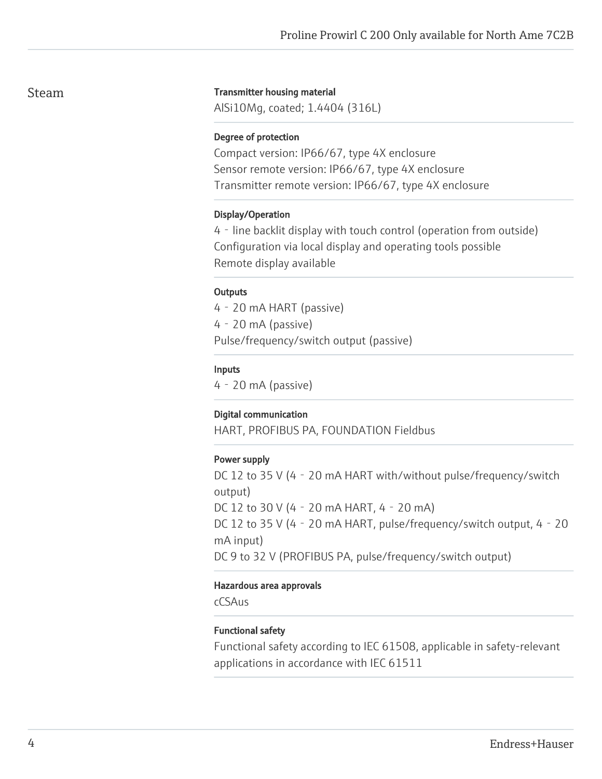### Steam

#### Transmitter housing material

AlSi10Mg, coated; 1.4404 (316L)

#### Degree of protection

Compact version: IP66/67, type 4X enclosure Sensor remote version: IP66/67, type 4X enclosure Transmitter remote version: IP66/67, type 4X enclosure

#### Display/Operation

4‐line backlit display with touch control (operation from outside) Configuration via local display and operating tools possible Remote display available

#### **Outputs**

4‐20 mA HART (passive) 4‐20 mA (passive) Pulse/frequency/switch output (passive)

#### Inputs

4‐20 mA (passive)

#### Digital communication

HART, PROFIBUS PA, FOUNDATION Fieldbus

#### Power supply

DC 12 to 35 V (4 - 20 mA HART with/without pulse/frequency/switch output) DC 12 to 30 V (4‐20 mA HART, 4‐20 mA) DC 12 to 35 V (4 - 20 mA HART, pulse/frequency/switch output, 4 - 20 mA input) DC 9 to 32 V (PROFIBUS PA, pulse/frequency/switch output)

#### Hazardous area approvals

cCSAus

### Functional safety

Functional safety according to IEC 61508, applicable in safety-relevant applications in accordance with IEC 61511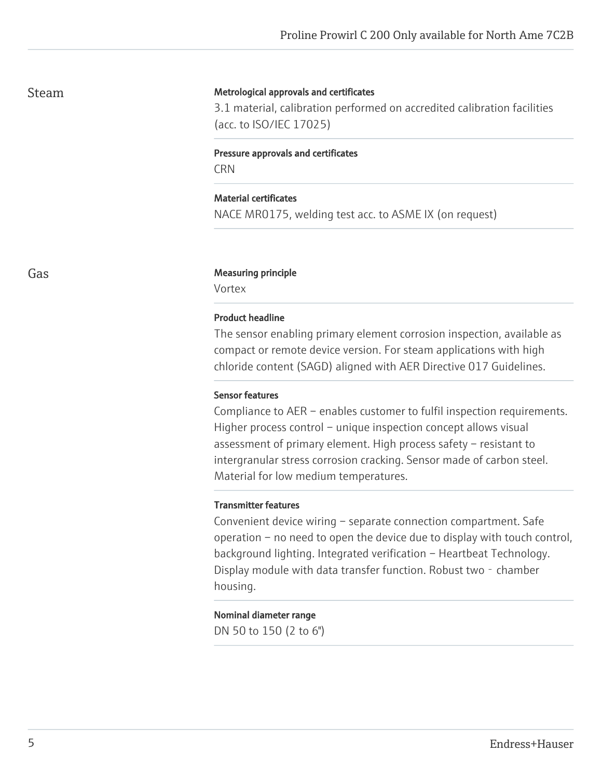### Steam

#### Metrological approvals and certificates

3.1 material, calibration performed on accredited calibration facilities (acc. to ISO/IEC 17025)

#### Pressure approvals and certificates

**CRN** 

#### Material certificates

NACE MR0175, welding test acc. to ASME IX (on request)

#### Gas **Gas** Measuring principle

Vortex

#### Product headline

The sensor enabling primary element corrosion inspection, available as compact or remote device version. For steam applications with high chloride content (SAGD) aligned with AER Directive 017 Guidelines.

#### Sensor features

Compliance to AER – enables customer to fulfil inspection requirements. Higher process control – unique inspection concept allows visual assessment of primary element. High process safety – resistant to intergranular stress corrosion cracking. Sensor made of carbon steel. Material for low medium temperatures.

#### Transmitter features

Convenient device wiring – separate connection compartment. Safe operation – no need to open the device due to display with touch control, background lighting. Integrated verification – Heartbeat Technology. Display module with data transfer function. Robust two - chamber housing.

#### Nominal diameter range

DN 50 to 150 (2 to 6")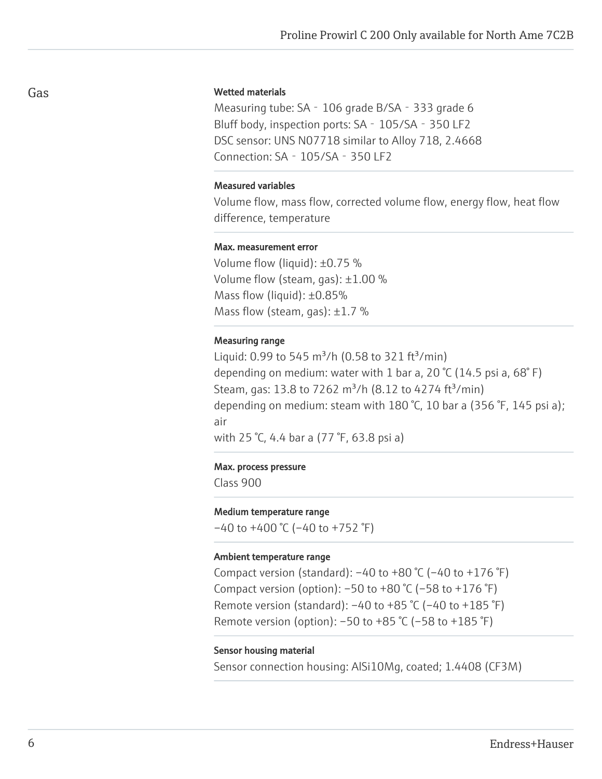#### Wetted materials

Measuring tube: SA - 106 grade B/SA - 333 grade 6 Bluff body, inspection ports: SA - 105/SA - 350 LF2 DSC sensor: UNS N07718 similar to Alloy 718, 2.4668 Connection: SA‐105/SA‐350 LF2

#### Measured variables

Volume flow, mass flow, corrected volume flow, energy flow, heat flow difference, temperature

#### Max. measurement error

Volume flow (liquid): ±0.75 % Volume flow (steam, gas): ±1.00 % Mass flow (liquid): ±0.85% Mass flow (steam, gas):  $\pm 1.7$  %

#### Measuring range

Liquid: 0.99 to 545 m<sup>3</sup>/h (0.58 to 321 ft<sup>3</sup>/min) depending on medium: water with 1 bar a, 20 °C (14.5 psi a, 68° F) Steam, gas: 13.8 to 7262 m<sup>3</sup>/h (8.12 to 4274 ft<sup>3</sup>/min) depending on medium: steam with 180 °C, 10 bar a (356 °F, 145 psi a); air

with 25 °C, 4.4 bar a (77 °F, 63.8 psi a)

#### Max. process pressure

Class 900

#### Medium temperature range

 $-40$  to  $+400$  °C ( $-40$  to  $+752$  °F)

#### Ambient temperature range

Compact version (standard):  $-40$  to  $+80$  °C ( $-40$  to  $+176$  °F) Compact version (option):  $-50$  to  $+80$  °C ( $-58$  to  $+176$  °F) Remote version (standard):  $-40$  to  $+85$  °C ( $-40$  to  $+185$  °F) Remote version (option): –50 to +85 °C (–58 to +185 °F)

#### Sensor housing material

Sensor connection housing: AlSi10Mg, coated; 1.4408 (CF3M)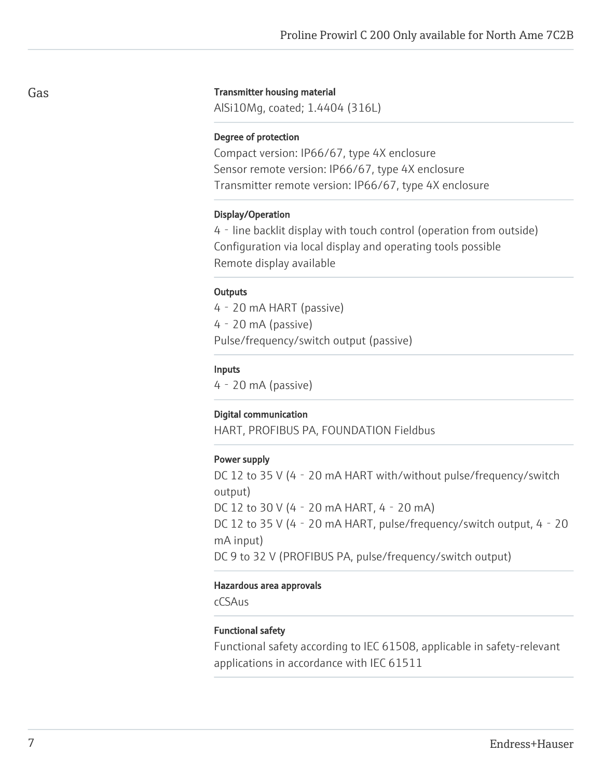#### Transmitter housing material

AlSi10Mg, coated; 1.4404 (316L)

#### Degree of protection

Compact version: IP66/67, type 4X enclosure Sensor remote version: IP66/67, type 4X enclosure Transmitter remote version: IP66/67, type 4X enclosure

#### Display/Operation

4‐line backlit display with touch control (operation from outside) Configuration via local display and operating tools possible Remote display available

#### **Outputs**

4‐20 mA HART (passive) 4‐20 mA (passive) Pulse/frequency/switch output (passive)

#### Inputs

4‐20 mA (passive)

#### Digital communication

HART, PROFIBUS PA, FOUNDATION Fieldbus

#### Power supply

DC 12 to 35 V (4 - 20 mA HART with/without pulse/frequency/switch output) DC 12 to 30 V (4‐20 mA HART, 4‐20 mA) DC 12 to 35 V (4 - 20 mA HART, pulse/frequency/switch output, 4 - 20 mA input) DC 9 to 32 V (PROFIBUS PA, pulse/frequency/switch output)

#### Hazardous area approvals

cCSAus

#### Functional safety

Functional safety according to IEC 61508, applicable in safety-relevant applications in accordance with IEC 61511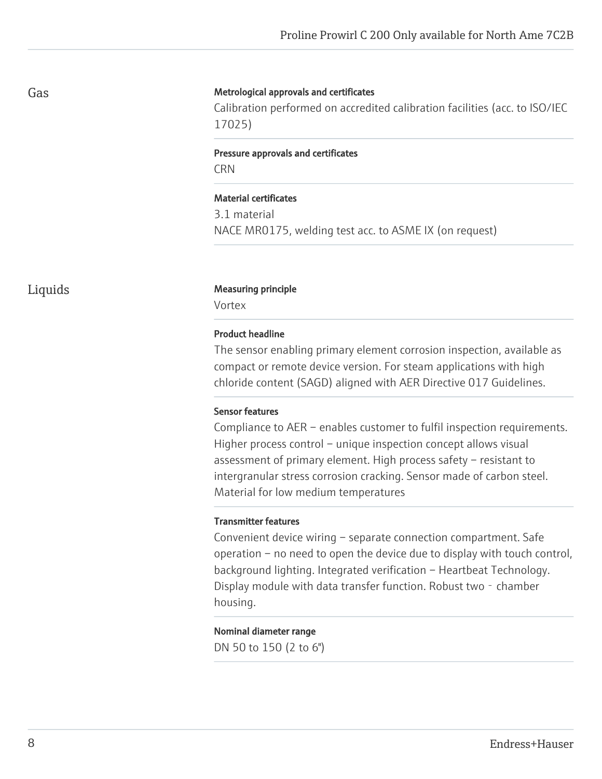#### Metrological approvals and certificates

Calibration performed on accredited calibration facilities (acc. to ISO/IEC 17025)

## Pressure approvals and certificates

**CRN** 

#### Material certificates

3.1 material NACE MR0175, welding test acc. to ASME IX (on request)

#### Liquids Measuring principle

Vortex

#### Product headline

The sensor enabling primary element corrosion inspection, available as compact or remote device version. For steam applications with high chloride content (SAGD) aligned with AER Directive 017 Guidelines.

#### Sensor features

Compliance to AER – enables customer to fulfil inspection requirements. Higher process control – unique inspection concept allows visual assessment of primary element. High process safety – resistant to intergranular stress corrosion cracking. Sensor made of carbon steel. Material for low medium temperatures

#### Transmitter features

Convenient device wiring – separate connection compartment. Safe operation – no need to open the device due to display with touch control, background lighting. Integrated verification – Heartbeat Technology. Display module with data transfer function. Robust two - chamber housing.

#### Nominal diameter range

DN 50 to 150 (2 to 6")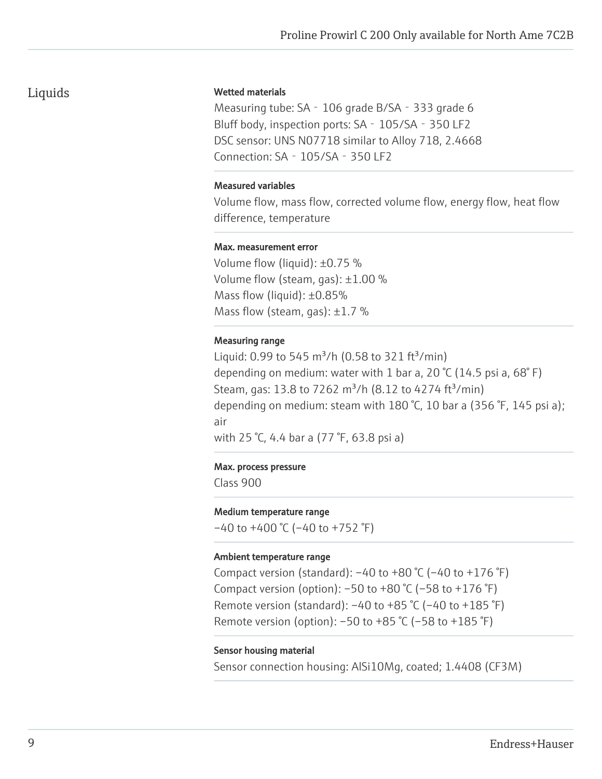## Liquids

#### Wetted materials

Measuring tube: SA - 106 grade B/SA - 333 grade 6 Bluff body, inspection ports: SA - 105/SA - 350 LF2 DSC sensor: UNS N07718 similar to Alloy 718, 2.4668 Connection: SA‐105/SA‐350 LF2

#### Measured variables

Volume flow, mass flow, corrected volume flow, energy flow, heat flow difference, temperature

#### Max. measurement error

Volume flow (liquid): ±0.75 % Volume flow (steam, gas): ±1.00 % Mass flow (liquid): ±0.85% Mass flow (steam, gas):  $\pm 1.7$  %

#### Measuring range

Liquid: 0.99 to 545 m<sup>3</sup>/h (0.58 to 321 ft<sup>3</sup>/min) depending on medium: water with 1 bar a, 20 °C (14.5 psi a, 68° F) Steam, gas: 13.8 to 7262 m<sup>3</sup>/h (8.12 to 4274 ft<sup>3</sup>/min) depending on medium: steam with 180 °C, 10 bar a (356 °F, 145 psi a); air

with 25 °C, 4.4 bar a (77 °F, 63.8 psi a)

#### Max. process pressure

Class 900

#### Medium temperature range

 $-40$  to  $+400$  °C ( $-40$  to  $+752$  °F)

#### Ambient temperature range

Compact version (standard):  $-40$  to  $+80$  °C ( $-40$  to  $+176$  °F) Compact version (option):  $-50$  to  $+80$  °C ( $-58$  to  $+176$  °F) Remote version (standard):  $-40$  to  $+85$  °C ( $-40$  to  $+185$  °F) Remote version (option): –50 to +85 °C (–58 to +185 °F)

#### Sensor housing material

Sensor connection housing: AlSi10Mg, coated; 1.4408 (CF3M)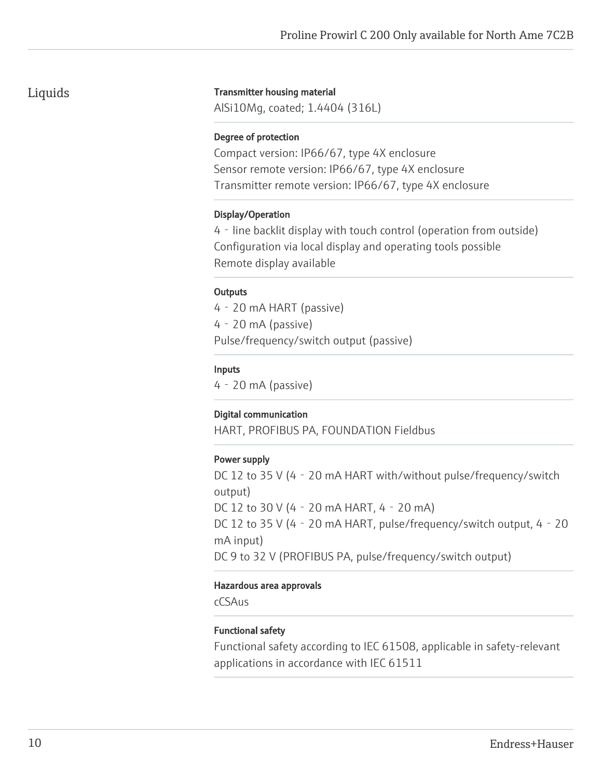## Liquids

#### Transmitter housing material

AlSi10Mg, coated; 1.4404 (316L)

#### Degree of protection

Compact version: IP66/67, type 4X enclosure Sensor remote version: IP66/67, type 4X enclosure Transmitter remote version: IP66/67, type 4X enclosure

#### Display/Operation

4‐line backlit display with touch control (operation from outside) Configuration via local display and operating tools possible Remote display available

#### **Outputs**

4‐20 mA HART (passive) 4‐20 mA (passive) Pulse/frequency/switch output (passive)

#### Inputs

4‐20 mA (passive)

### Digital communication

HART, PROFIBUS PA, FOUNDATION Fieldbus

### Power supply

DC 12 to 35 V (4 - 20 mA HART with/without pulse/frequency/switch output) DC 12 to 30 V (4‐20 mA HART, 4‐20 mA) DC 12 to 35 V (4 - 20 mA HART, pulse/frequency/switch output, 4 - 20 mA input) DC 9 to 32 V (PROFIBUS PA, pulse/frequency/switch output)

#### Hazardous area approvals

cCSAus

### Functional safety

Functional safety according to IEC 61508, applicable in safety-relevant applications in accordance with IEC 61511